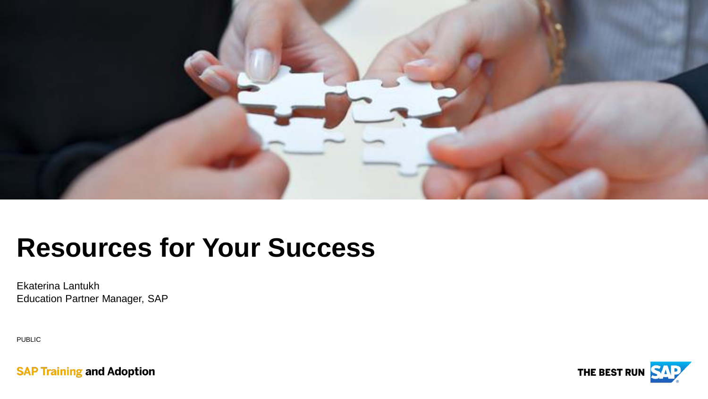

## **Resources for Your Success**

Ekaterina Lantukh Education Partner Manager, SAP

PUBLIC

**SAP Training and Adoption** 

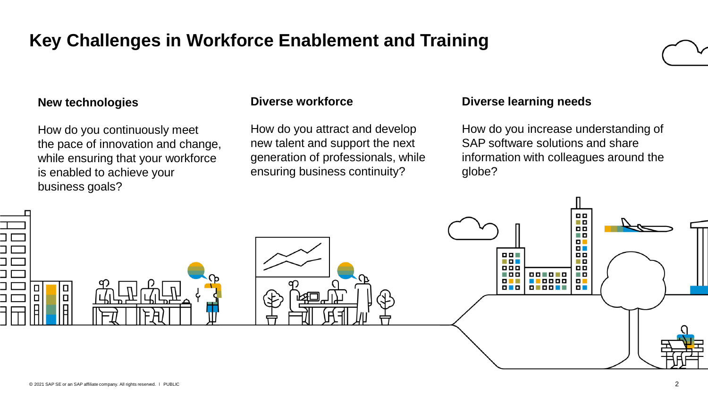### **Key Challenges in Workforce Enablement and Training**

### **New technologies**

How do you continuously meet the pace of innovation and change, while ensuring that your workforce is enabled to achieve your business goals?

### **Diverse workforce**

How do you attract and develop new talent and support the next generation of professionals, while ensuring business continuity?

### **Diverse learning needs**

How do you increase understanding of SAP software solutions and share information with colleagues around the globe?

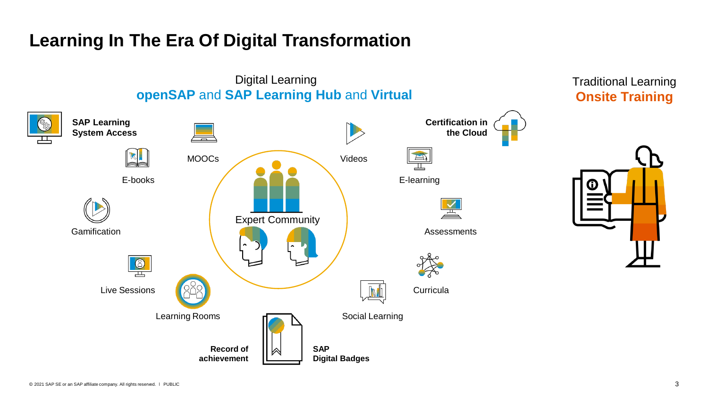### **Learning In The Era Of Digital Transformation**

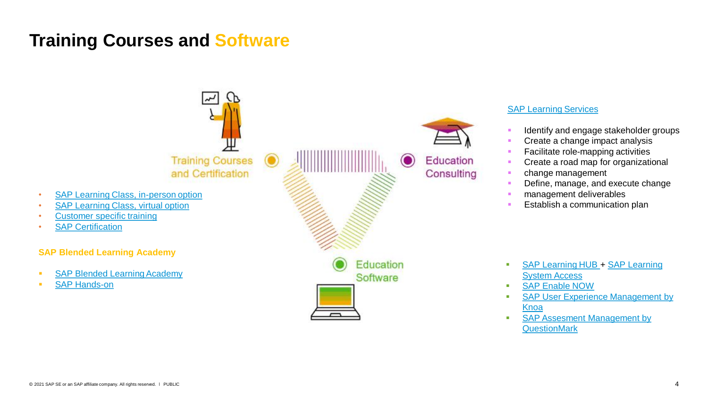### **Training Courses and Software**

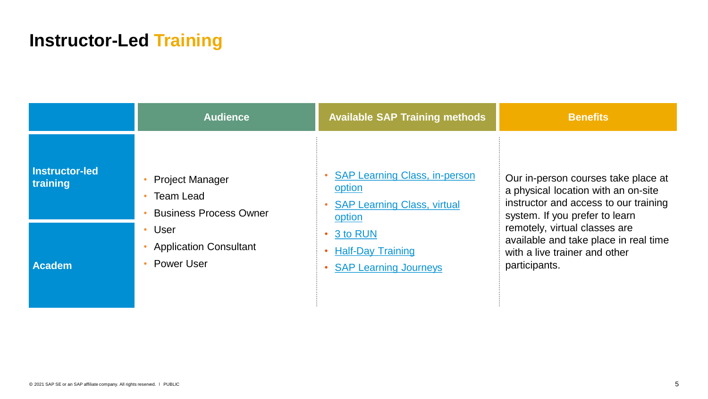### **Instructor-Led Training**

|                                   | <b>Audience</b>                                                      | <b>Available SAP Training methods</b>                                                          | <b>Benefits</b>                                                                                                                                       |
|-----------------------------------|----------------------------------------------------------------------|------------------------------------------------------------------------------------------------|-------------------------------------------------------------------------------------------------------------------------------------------------------|
| <b>Instructor-led</b><br>training | <b>Project Manager</b><br>Team Lead<br><b>Business Process Owner</b> | <b>SAP Learning Class, in-person</b><br>option<br><b>SAP Learning Class, virtual</b><br>option | Our in-person courses take place at<br>a physical location with an on-site<br>instructor and access to our training<br>system. If you prefer to learn |
| <b>Academ</b>                     | • User<br><b>Application Consultant</b><br><b>Power User</b>         | 3 to RUN<br><b>Half-Day Training</b><br><b>SAP Learning Journeys</b>                           | remotely, virtual classes are<br>available and take place in real time<br>with a live trainer and other<br>participants.                              |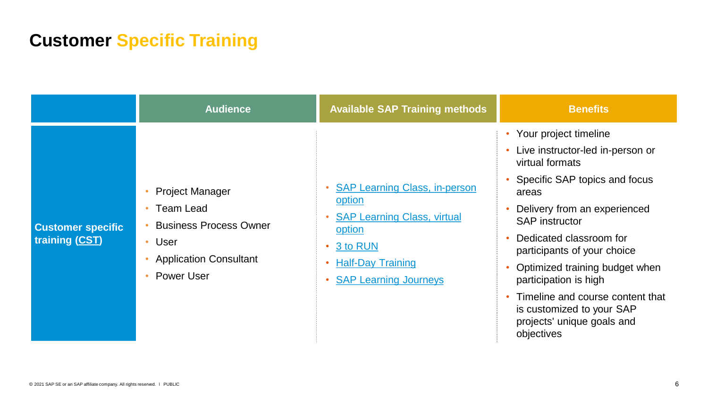### **Customer Specific Training**

|                                            | <b>Audience</b>                                                                                                                             | <b>Available SAP Training methods</b>                                                                                                                                     | <b>Benefits</b>                                                                                                                                                                                                                                                                                                                                                                                                                             |
|--------------------------------------------|---------------------------------------------------------------------------------------------------------------------------------------------|---------------------------------------------------------------------------------------------------------------------------------------------------------------------------|---------------------------------------------------------------------------------------------------------------------------------------------------------------------------------------------------------------------------------------------------------------------------------------------------------------------------------------------------------------------------------------------------------------------------------------------|
| <b>Customer specific</b><br>training (CST) | <b>Project Manager</b><br><b>Team Lead</b><br><b>Business Process Owner</b><br>• User<br><b>Application Consultant</b><br><b>Power User</b> | • SAP Learning Class, in-person<br>option<br><b>SAP Learning Class, virtual</b><br>option<br>$\cdot$ 3 to RUN<br><b>Half-Day Training</b><br><b>SAP Learning Journeys</b> | Your project timeline<br>Live instructor-led in-person or<br>$\bullet$<br>virtual formats<br>Specific SAP topics and focus<br>areas<br>Delivery from an experienced<br><b>SAP</b> instructor<br>Dedicated classroom for<br>participants of your choice<br>Optimized training budget when<br>participation is high<br>Timeline and course content that<br>$\bullet$<br>is customized to your SAP<br>projects' unique goals and<br>objectives |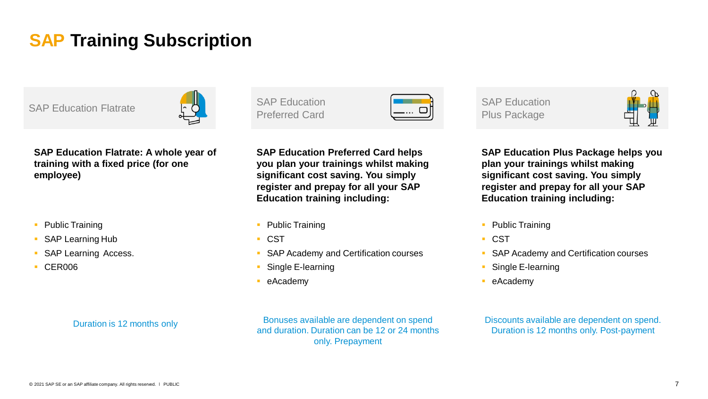### **SAP Training Subscription**



**SAP Education Flatrate: A whole year of training with a fixed price (for one employee)**

- Public Training
- SAP Learning Hub
- SAP Learning Access.
- CER006

#### Duration is 12 months only

SAP Education Preferred Card Preferred Card Card Preferred Card Preferred Card Preferred Card Plus Package

**SAP Education Preferred Card helps you plan your trainings whilst making significant cost saving. You simply register and prepay for all your SAP Education training including:**

- Public Training
- CST
- SAP Academy and Certification courses
- Single E-learning
- eAcademy

Bonuses available are dependent on spend and duration. Duration can be 12 or 24 months only. Prepayment

SAP Education



**SAP Education Plus Package helps you plan your trainings whilst making significant cost saving. You simply register and prepay for all your SAP Education training including:**

- **Public Training**
- CST
- SAP Academy and Certification courses
- Single E-learning
- eAcademy

Discounts available are dependent on spend. Duration is 12 months only. Post-payment

#### © 2021 SAP SE or an SAP affiliate company. All rights reserved. Ⅰ PUBLIC 7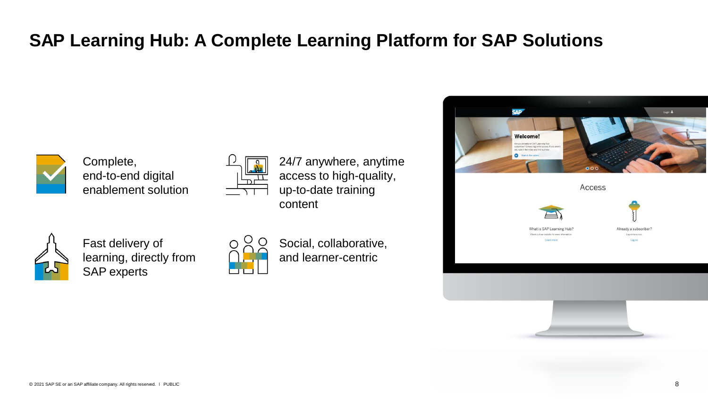### **SAP Learning Hub: A Complete Learning Platform for SAP Solutions**



Complete, end-to-end digital enablement solution



24/7 anywhere, anytime access to high-quality, up-to-date training content



Fast delivery of learning, directly from SAP experts



Social, collaborative, and learner-centric

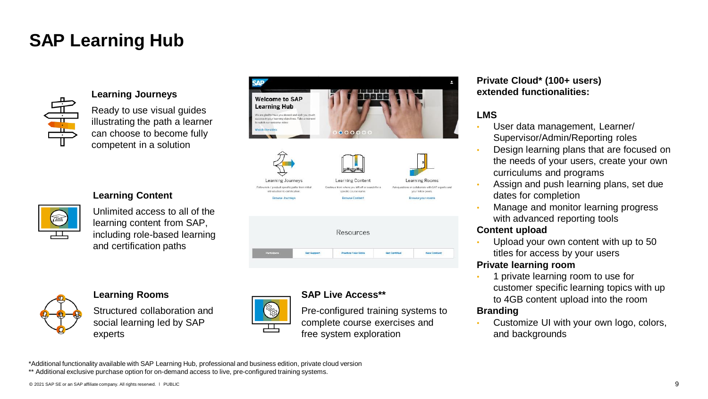### **SAP Learning Hub**



#### **Learning Journeys**

Ready to use visual guides illustrating the path a learner can choose to become fully competent in a solution

Unlimited access to all of the learning content from SAP, including role-based learning



|  | Resources |  |
|--|-----------|--|
|  |           |  |
|  |           |  |



#### **Learning Rooms**

and certification paths

**Learning Content**

Structured collaboration and social learning led by SAP experts



I

### **SAP Live Access\*\***

Pre-configured training systems to complete course exercises and free system exploration

#### **Private Cloud\* (100+ users) extended functionalities:**

### **LMS**

- User data management, Learner/ Supervisor/Admin/Reporting roles
- Design learning plans that are focused on the needs of your users, create your own curriculums and programs
- Assign and push learning plans, set due dates for completion
- Manage and monitor learning progress with advanced reporting tools

### **Content upload**

• Upload your own content with up to 50 titles for access by your users

#### **Private learning room**

• 1 private learning room to use for customer specific learning topics with up to 4GB content upload into the room

### **Branding**

• Customize UI with your own logo, colors, and backgrounds

\*Additional functionality available with SAP Learning Hub, professional and business edition, private cloud version

\*\* Additional exclusive purchase option for on-demand access to live, pre-configured training systems.